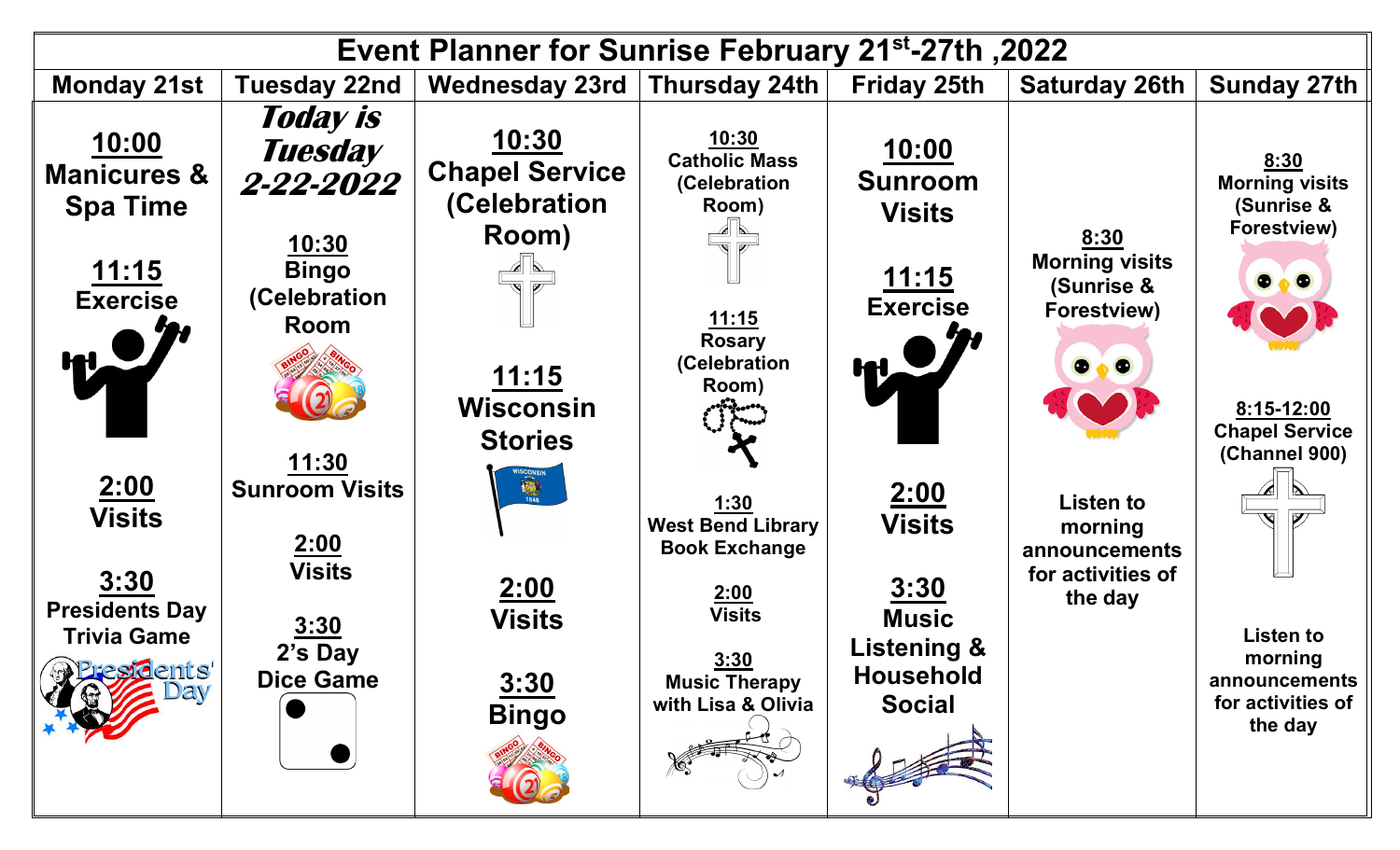